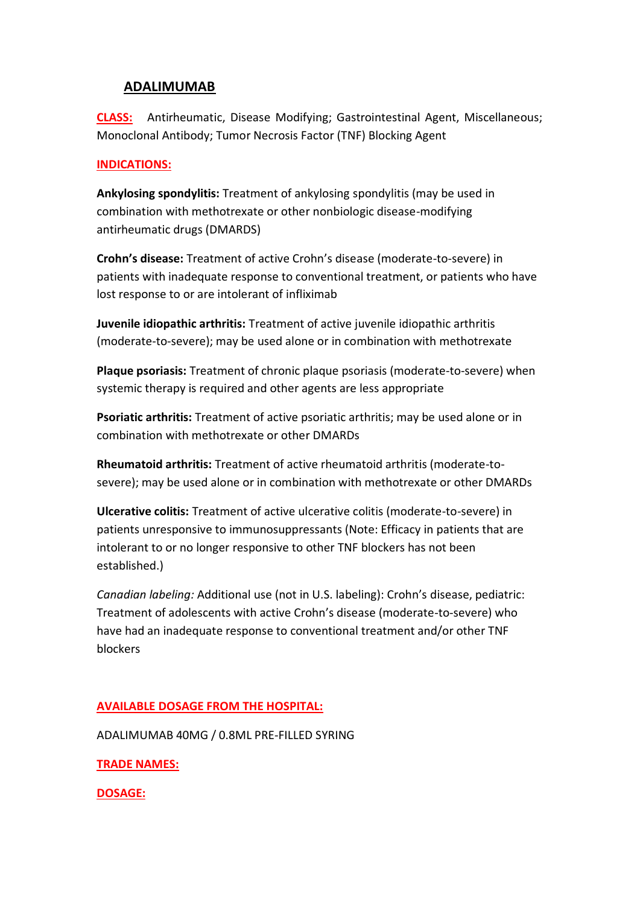# **ADALIMUMAB**

**CLASS:** Antirheumatic, Disease Modifying; Gastrointestinal Agent, Miscellaneous; Monoclonal Antibody; Tumor Necrosis Factor (TNF) Blocking Agent

### **INDICATIONS:**

**Ankylosing spondylitis:** Treatment of ankylosing spondylitis (may be used in combination with methotrexate or other nonbiologic disease-modifying antirheumatic drugs (DMARDS)

**Crohn's disease:** Treatment of active Crohn's disease (moderate-to-severe) in patients with inadequate response to conventional treatment, or patients who have lost response to or are intolerant of infliximab

**Juvenile idiopathic arthritis:** Treatment of active juvenile idiopathic arthritis (moderate-to-severe); may be used alone or in combination with methotrexate

**Plaque psoriasis:** Treatment of chronic plaque psoriasis (moderate-to-severe) when systemic therapy is required and other agents are less appropriate

**Psoriatic arthritis:** Treatment of active psoriatic arthritis; may be used alone or in combination with methotrexate or other DMARDs

**Rheumatoid arthritis:** Treatment of active rheumatoid arthritis (moderate-tosevere); may be used alone or in combination with methotrexate or other DMARDs

**Ulcerative colitis:** Treatment of active ulcerative colitis (moderate-to-severe) in patients unresponsive to immunosuppressants (Note: Efficacy in patients that are intolerant to or no longer responsive to other TNF blockers has not been established.)

*Canadian labeling:* Additional use (not in U.S. labeling): Crohn's disease, pediatric: Treatment of adolescents with active Crohn's disease (moderate-to-severe) who have had an inadequate response to conventional treatment and/or other TNF blockers

## **AVAILABLE DOSAGE FROM THE HOSPITAL:**

ADALIMUMAB 40MG / 0.8ML PRE-FILLED SYRING

**TRADE NAMES:**

**DOSAGE:**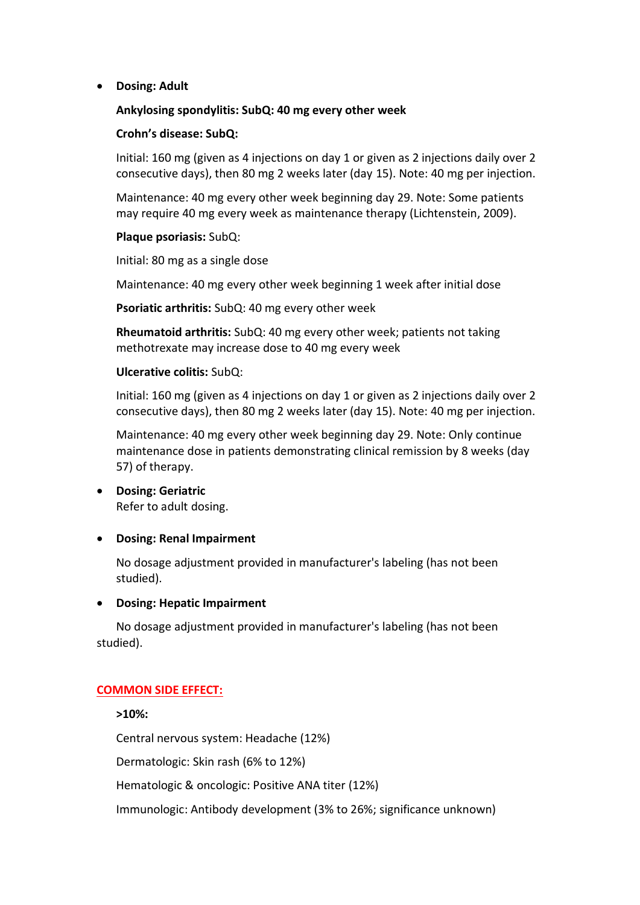**Dosing: Adult**

### **Ankylosing spondylitis: SubQ: 40 mg every other week**

#### **Crohn's disease: SubQ:**

Initial: 160 mg (given as 4 injections on day 1 or given as 2 injections daily over 2 consecutive days), then 80 mg 2 weeks later (day 15). Note: 40 mg per injection.

Maintenance: 40 mg every other week beginning day 29. Note: Some patients may require 40 mg every week as maintenance therapy (Lichtenstein, 2009).

#### **Plaque psoriasis:** SubQ:

Initial: 80 mg as a single dose

Maintenance: 40 mg every other week beginning 1 week after initial dose

**Psoriatic arthritis:** SubQ: 40 mg every other week

**Rheumatoid arthritis:** SubQ: 40 mg every other week; patients not taking methotrexate may increase dose to 40 mg every week

### **Ulcerative colitis:** SubQ:

Initial: 160 mg (given as 4 injections on day 1 or given as 2 injections daily over 2 consecutive days), then 80 mg 2 weeks later (day 15). Note: 40 mg per injection.

Maintenance: 40 mg every other week beginning day 29. Note: Only continue maintenance dose in patients demonstrating clinical remission by 8 weeks (day 57) of therapy.

 **Dosing: Geriatric** Refer to adult dosing.

## **Dosing: Renal Impairment**

No dosage adjustment provided in manufacturer's labeling (has not been studied).

#### **Dosing: Hepatic Impairment**

No dosage adjustment provided in manufacturer's labeling (has not been studied).

## **COMMON SIDE EFFECT:**

**>10%:**

Central nervous system: Headache (12%)

Dermatologic: Skin rash (6% to 12%)

Hematologic & oncologic: Positive ANA titer (12%)

Immunologic: Antibody development (3% to 26%; significance unknown)